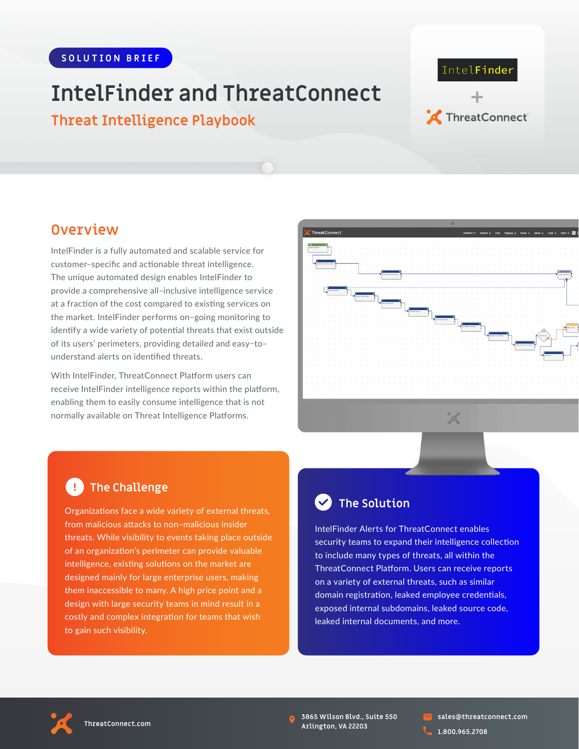# **IntelFinder and ThreatConnect**

**Threat Intelligence Playbook**

# IntelFinder **+** ThreatConnect

### **Overview**

IntelFinder is a fully automated and scalable service for customer–specific and actionable threat intelligence. The unique automated design enables IntelFinder to provide a comprehensive all–inclusive intelligence service at a fraction of the cost compared to existing services on the market. IntelFinder performs on–going monitoring to identify a wide variety of potential threats that exist outside of its users' perimeters, providing detailed and easy–to– understand alerts on identified threats.

With IntelFinder, ThreatConnect Platform users can receive IntelFinder intelligence reports within the platform, enabling them to easily consume intelligence that is not normally available on Threat Intelligence Platforms.



### **E** The Challenge

Organizations face a wide variety of external threats, from malicious attacks to non–malicious insider threats. While visibility to events taking place outside of an organization's perimeter can provide valuable intelligence, existing solutions on the market are designed mainly for large enterprise users, making them inaccessible to many. A high price point and a design with large security teams in mind result in a costly and complex integration for teams that wish to gain such visibility.

## **The Solution**

IntelFinder Alerts for ThreatConnect enables security teams to expand their intelligence collection to include many types of threats, all within the ThreatConnect Platform. Users can receive reports on a variety of external threats, such as similar domain registration, leaked employee credentials, exposed internal subdomains, leaked source code, leaked internal documents, and more.



**3865 Wilson Blvd., Suite 550 Arlington, VA 22203**